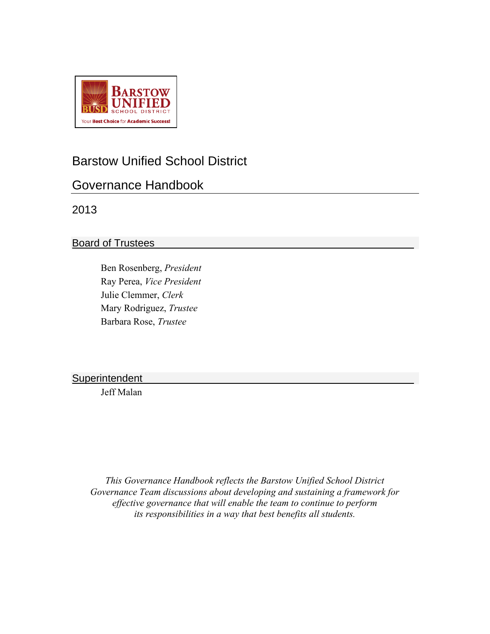

# Barstow Unified School District

# Governance Handbook

2013

### Board of Trustees

Ben Rosenberg, *President* Ray Perea, *Vice President* Julie Clemmer, *Clerk* Mary Rodriguez, *Trustee* Barbara Rose, *Trustee*

**Superintendent** 

Jeff Malan

*This Governance Handbook reflects the Barstow Unified School District Governance Team discussions about developing and sustaining a framework for effective governance that will enable the team to continue to perform its responsibilities in a way that best benefits all students.*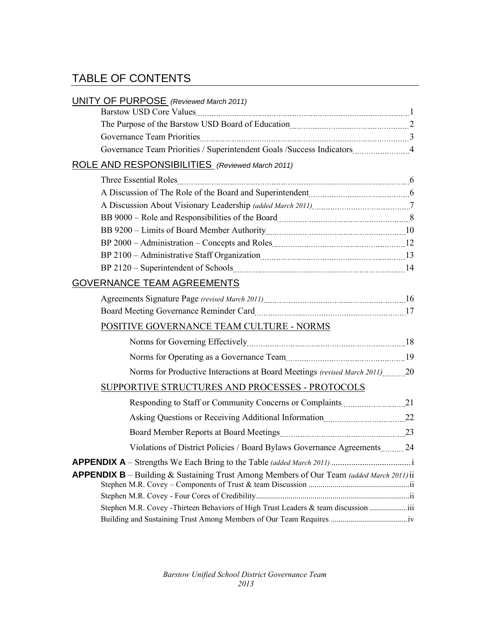# TABLE OF CONTENTS

| UNITY OF PURPOSE (Reviewed March 2011)                                                                                                                                                                                         |  |
|--------------------------------------------------------------------------------------------------------------------------------------------------------------------------------------------------------------------------------|--|
|                                                                                                                                                                                                                                |  |
|                                                                                                                                                                                                                                |  |
|                                                                                                                                                                                                                                |  |
| Governance Team Priorities / Superintendent Goals / Success Indicators [11, 2016] 4                                                                                                                                            |  |
| ROLE AND RESPONSIBILITIES (Reviewed March 2011)                                                                                                                                                                                |  |
|                                                                                                                                                                                                                                |  |
|                                                                                                                                                                                                                                |  |
| A Discussion About Visionary Leadership (added March 2011) [11] [2011] [2011] [2012] [2012] [2012] [2012] [2012] [2012] [2012] [2012] [2012] [2012] [2012] [2012] [2012] [2012] [2012] [2012] [2012] [2012] [2012] [2012] [201 |  |
|                                                                                                                                                                                                                                |  |
|                                                                                                                                                                                                                                |  |
|                                                                                                                                                                                                                                |  |
| BP 2100 - Administrative Staff Organization manufacture and the 13                                                                                                                                                             |  |
|                                                                                                                                                                                                                                |  |
| <b>GOVERNANCE TEAM AGREEMENTS</b>                                                                                                                                                                                              |  |
| Agreements Signature Page (revised March 2011) [16] March 2011 [16] March 2011 [16] March 2011 [16] March 2011                                                                                                                 |  |
|                                                                                                                                                                                                                                |  |
| POSITIVE GOVERNANCE TEAM CULTURE - NORMS                                                                                                                                                                                       |  |
|                                                                                                                                                                                                                                |  |
| Norms for Operating as a Governance Team<br>19                                                                                                                                                                                 |  |
| Norms for Productive Interactions at Board Meetings (revised March 2011) 20                                                                                                                                                    |  |
| SUPPORTIVE STRUCTURES AND PROCESSES - PROTOCOLS                                                                                                                                                                                |  |
|                                                                                                                                                                                                                                |  |
| Asking Questions or Receiving Additional Information <b>Marshall</b> 22                                                                                                                                                        |  |
|                                                                                                                                                                                                                                |  |
| Violations of District Policies / Board Bylaws Governance Agreements 24                                                                                                                                                        |  |
|                                                                                                                                                                                                                                |  |
| <b>APPENDIX B</b> – Building & Sustaining Trust Among Members of Our Team <i>(added March 2011)</i> ii                                                                                                                         |  |
|                                                                                                                                                                                                                                |  |
| Stephen M.R. Covey -Thirteen Behaviors of High Trust Leaders & team discussion                                                                                                                                                 |  |
|                                                                                                                                                                                                                                |  |
|                                                                                                                                                                                                                                |  |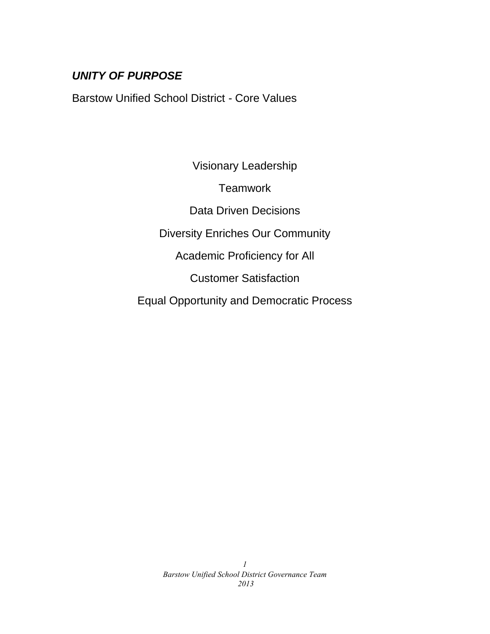Barstow Unified School District - Core Values

Visionary Leadership **Teamwork** Data Driven Decisions Diversity Enriches Our Community Academic Proficiency for All Customer Satisfaction Equal Opportunity and Democratic Process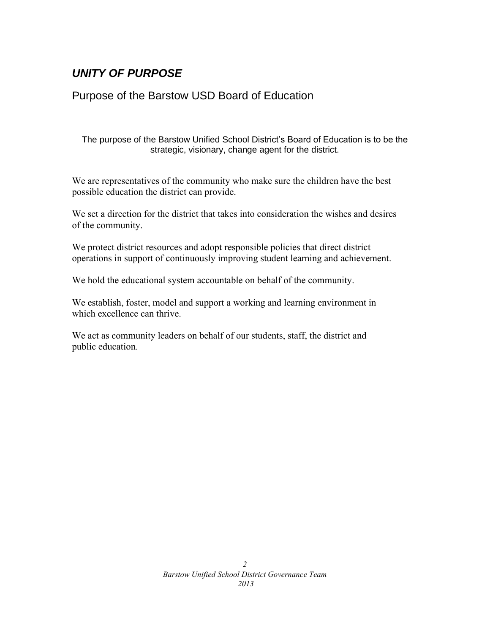### Purpose of the Barstow USD Board of Education

The purpose of the Barstow Unified School District's Board of Education is to be the strategic, visionary, change agent for the district.

We are representatives of the community who make sure the children have the best possible education the district can provide.

We set a direction for the district that takes into consideration the wishes and desires of the community.

We protect district resources and adopt responsible policies that direct district operations in support of continuously improving student learning and achievement.

We hold the educational system accountable on behalf of the community.

We establish, foster, model and support a working and learning environment in which excellence can thrive.

We act as community leaders on behalf of our students, staff, the district and public education.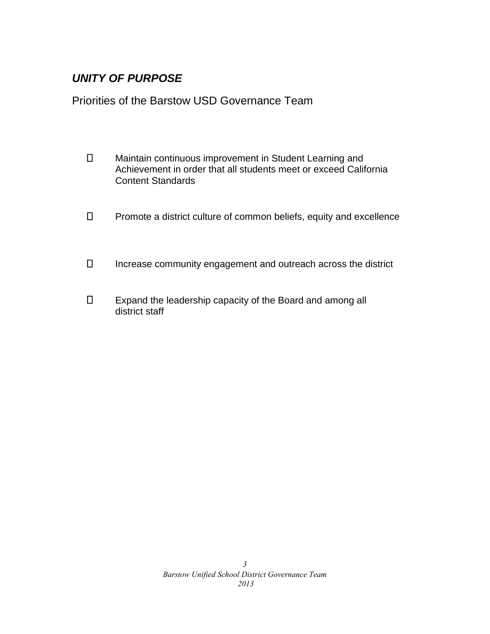Priorities of the Barstow USD Governance Team

- $\Box$ Maintain continuous improvement in Student Learning and Achievement in order that all students meet or exceed California Content Standards
- $\Box$ Promote a district culture of common beliefs, equity and excellence
- $\Box$ Increase community engagement and outreach across the district
- $\Box$ Expand the leadership capacity of the Board and among all district staff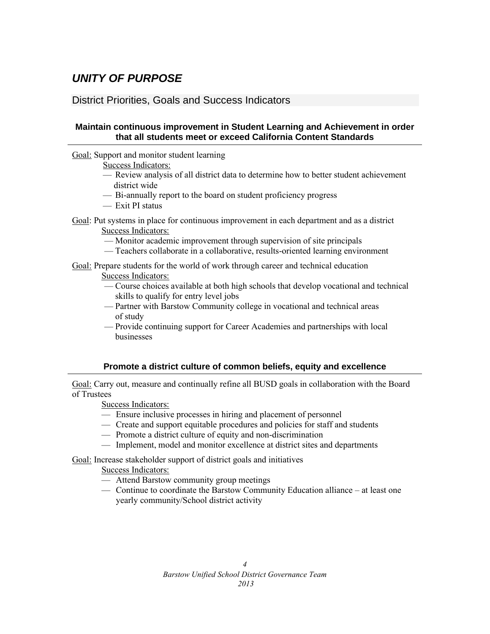### District Priorities, Goals and Success Indicators

#### **Maintain continuous improvement in Student Learning and Achievement in order that all students meet or exceed California Content Standards**

Goal: Support and monitor student learning

- Success Indicators:
	- Review analysis of all district data to determine how to better student achievement district wide
	- Bi-annually report to the board on student proficiency progress
	- Exit PI status
- Goal: Put systems in place for continuous improvement in each department and as a district Success Indicators:

— Monitor academic improvement through supervision of site principals

— Teachers collaborate in a collaborative, results-oriented learning environment

Goal: Prepare students for the world of work through career and technical education

Success Indicators:

- Course choices available at both high schools that develop vocational and technical skills to qualify for entry level jobs
- Partner with Barstow Community college in vocational and technical areas of study
- Provide continuing support for Career Academies and partnerships with local businesses

#### **Promote a district culture of common beliefs, equity and excellence**

Goal: Carry out, measure and continually refine all BUSD goals in collaboration with the Board of Trustees

Success Indicators:

- Ensure inclusive processes in hiring and placement of personnel
- Create and support equitable procedures and policies for staff and students
- Promote a district culture of equity and non-discrimination
- Implement, model and monitor excellence at district sites and departments

Goal: Increase stakeholder support of district goals and initiatives

Success Indicators:

- Attend Barstow community group meetings
- Continue to coordinate the Barstow Community Education alliance at least one yearly community/School district activity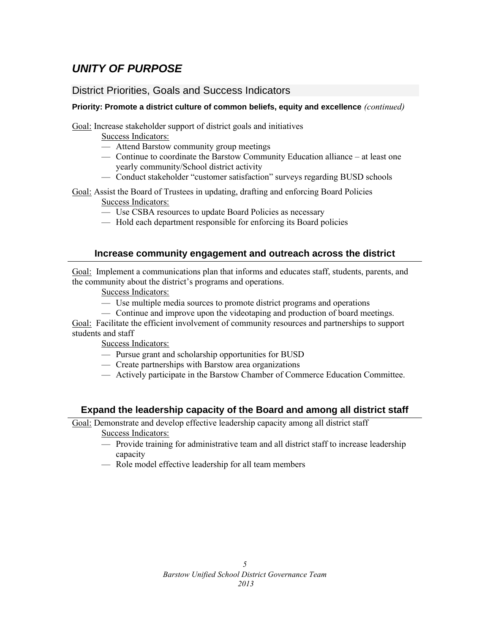### District Priorities, Goals and Success Indicators

#### **Priority: Promote a district culture of common beliefs, equity and excellence** *(continued)*

Goal: Increase stakeholder support of district goals and initiatives

Success Indicators:

- Attend Barstow community group meetings
- Continue to coordinate the Barstow Community Education alliance at least one yearly community/School district activity
- Conduct stakeholder "customer satisfaction" surveys regarding BUSD schools

Goal: Assist the Board of Trustees in updating, drafting and enforcing Board Policies Success Indicators:

- Use CSBA resources to update Board Policies as necessary
- Hold each department responsible for enforcing its Board policies

#### **Increase community engagement and outreach across the district**

Goal: Implement a communications plan that informs and educates staff, students, parents, and the community about the district's programs and operations.

Success Indicators:

- Use multiple media sources to promote district programs and operations
- Continue and improve upon the videotaping and production of board meetings.

Goal: Facilitate the efficient involvement of community resources and partnerships to support students and staff

Success Indicators:

- Pursue grant and scholarship opportunities for BUSD
- Create partnerships with Barstow area organizations
- Actively participate in the Barstow Chamber of Commerce Education Committee.

#### **Expand the leadership capacity of the Board and among all district staff**

Goal: Demonstrate and develop effective leadership capacity among all district staff

- Success Indicators:
- Provide training for administrative team and all district staff to increase leadership capacity
- Role model effective leadership for all team members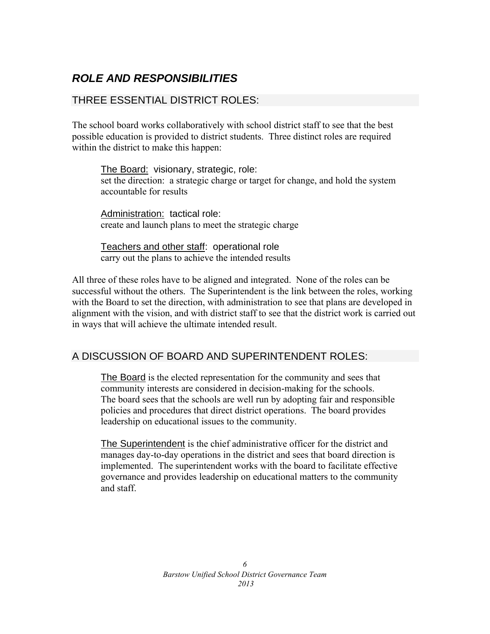### THREE ESSENTIAL DISTRICT ROLES:

The school board works collaboratively with school district staff to see that the best possible education is provided to district students. Three distinct roles are required within the district to make this happen:

The Board: visionary, strategic, role: set the direction: a strategic charge or target for change, and hold the system accountable for results

Administration: tactical role: create and launch plans to meet the strategic charge

Teachers and other staff: operational role carry out the plans to achieve the intended results

All three of these roles have to be aligned and integrated. None of the roles can be successful without the others. The Superintendent is the link between the roles, working with the Board to set the direction, with administration to see that plans are developed in alignment with the vision, and with district staff to see that the district work is carried out in ways that will achieve the ultimate intended result.

### A DISCUSSION OF BOARD AND SUPERINTENDENT ROLES:

The Board is the elected representation for the community and sees that community interests are considered in decision-making for the schools. The board sees that the schools are well run by adopting fair and responsible policies and procedures that direct district operations. The board provides leadership on educational issues to the community.

The Superintendent is the chief administrative officer for the district and manages day-to-day operations in the district and sees that board direction is implemented. The superintendent works with the board to facilitate effective governance and provides leadership on educational matters to the community and staff.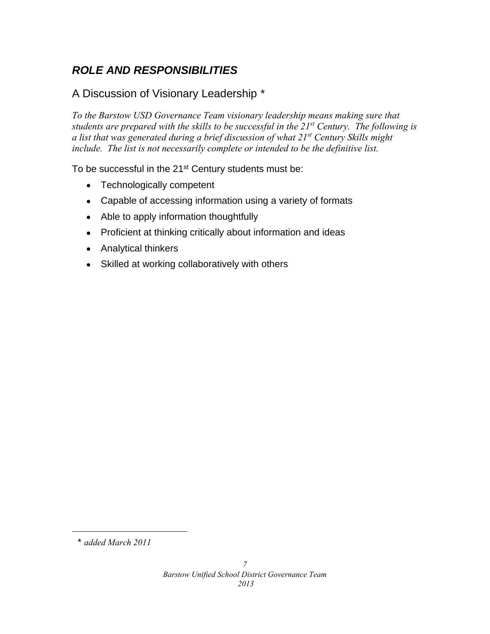# A Discussion of Visionary Leadership \*

*To the Barstow USD Governance Team visionary leadership means making sure that students are prepared with the skills to be successful in the 21st Century. The following is a list that was generated during a brief discussion of what 21st Century Skills might include. The list is not necessarily complete or intended to be the definitive list.*

To be successful in the 21<sup>st</sup> Century students must be:

- Technologically competent
- Capable of accessing information using a variety of formats
- Able to apply information thoughtfully
- Proficient at thinking critically about information and ideas
- Analytical thinkers
- Skilled at working collaboratively with others

<sup>\*</sup> *added March 2011*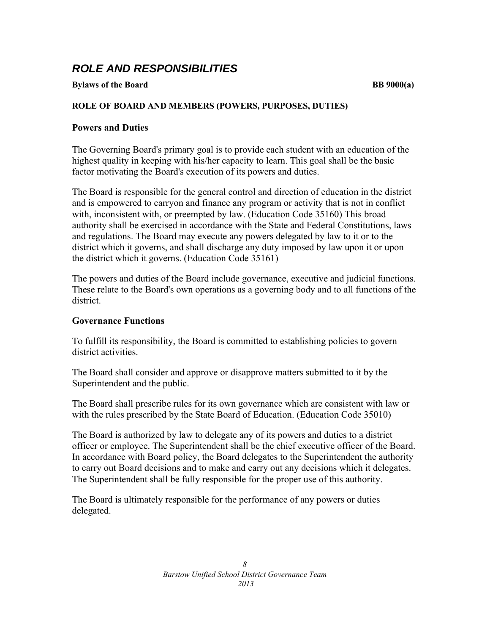#### **Bylaws of the Board BB 9000(a) BB 9000(a)**

#### **ROLE OF BOARD AND MEMBERS (POWERS, PURPOSES, DUTIES)**

#### **Powers and Duties**

The Governing Board's primary goal is to provide each student with an education of the highest quality in keeping with his/her capacity to learn. This goal shall be the basic factor motivating the Board's execution of its powers and duties.

The Board is responsible for the general control and direction of education in the district and is empowered to carryon and finance any program or activity that is not in conflict with, inconsistent with, or preempted by law. (Education Code 35160) This broad authority shall be exercised in accordance with the State and Federal Constitutions, laws and regulations. The Board may execute any powers delegated by law to it or to the district which it governs, and shall discharge any duty imposed by law upon it or upon the district which it governs. (Education Code 35161)

The powers and duties of the Board include governance, executive and judicial functions. These relate to the Board's own operations as a governing body and to all functions of the district.

#### **Governance Functions**

To fulfill its responsibility, the Board is committed to establishing policies to govern district activities.

The Board shall consider and approve or disapprove matters submitted to it by the Superintendent and the public.

The Board shall prescribe rules for its own governance which are consistent with law or with the rules prescribed by the State Board of Education. (Education Code 35010)

The Board is authorized by law to delegate any of its powers and duties to a district officer or employee. The Superintendent shall be the chief executive officer of the Board. In accordance with Board policy, the Board delegates to the Superintendent the authority to carry out Board decisions and to make and carry out any decisions which it delegates. The Superintendent shall be fully responsible for the proper use of this authority.

The Board is ultimately responsible for the performance of any powers or duties delegated.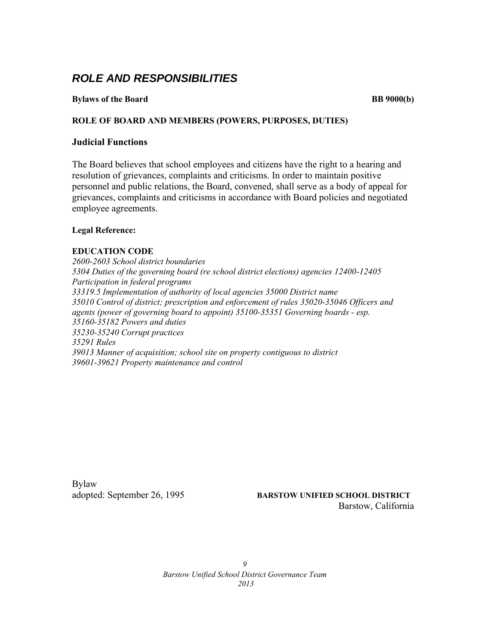#### **Bylaws of the Board BB 9000(b) BB 9000(b)**

#### **ROLE OF BOARD AND MEMBERS (POWERS, PURPOSES, DUTIES)**

#### **Judicial Functions**

The Board believes that school employees and citizens have the right to a hearing and resolution of grievances, complaints and criticisms. In order to maintain positive personnel and public relations, the Board, convened, shall serve as a body of appeal for grievances, complaints and criticisms in accordance with Board policies and negotiated employee agreements.

#### **Legal Reference:**

#### **EDUCATION CODE**

*2600-2603 School district boundaries 5304 Duties of the governing board (re school district elections) agencies 12400-12405 Participation in federal programs 33319.5 Implementation of authority of local agencies 35000 District name 35010 Control of district; prescription and enforcement of rules 35020-35046 Officers and agents (power of governing board to appoint) 35100-35351 Governing boards - esp. 35160-35182 Powers and duties 35230-35240 Corrupt practices 35291 Rules 39013 Manner of acquisition; school site on property contiguous to district 39601-39621 Property maintenance and control* 

Bylaw

adopted: September 26, 1995 **BARSTOW UNIFIED SCHOOL DISTRICT** Barstow, California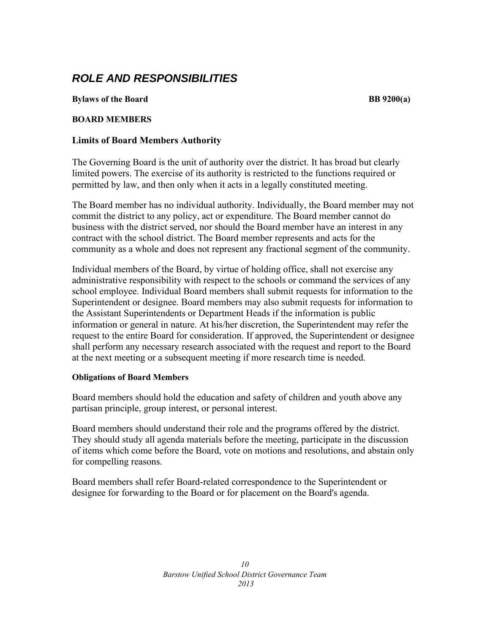**Bylaws of the Board BB 9200(a) BB 9200(a)** 

#### **BOARD MEMBERS**

#### **Limits of Board Members Authority**

The Governing Board is the unit of authority over the district. It has broad but clearly limited powers. The exercise of its authority is restricted to the functions required or permitted by law, and then only when it acts in a legally constituted meeting.

The Board member has no individual authority. Individually, the Board member may not commit the district to any policy, act or expenditure. The Board member cannot do business with the district served, nor should the Board member have an interest in any contract with the school district. The Board member represents and acts for the community as a whole and does not represent any fractional segment of the community.

Individual members of the Board, by virtue of holding office, shall not exercise any administrative responsibility with respect to the schools or command the services of any school employee. Individual Board members shall submit requests for information to the Superintendent or designee. Board members may also submit requests for information to the Assistant Superintendents or Department Heads if the information is public information or general in nature. At his/her discretion, the Superintendent may refer the request to the entire Board for consideration. If approved, the Superintendent or designee shall perform any necessary research associated with the request and report to the Board at the next meeting or a subsequent meeting if more research time is needed.

#### **Obligations of Board Members**

Board members should hold the education and safety of children and youth above any partisan principle, group interest, or personal interest.

Board members should understand their role and the programs offered by the district. They should study all agenda materials before the meeting, participate in the discussion of items which come before the Board, vote on motions and resolutions, and abstain only for compelling reasons.

Board members shall refer Board-related correspondence to the Superintendent or designee for forwarding to the Board or for placement on the Board's agenda.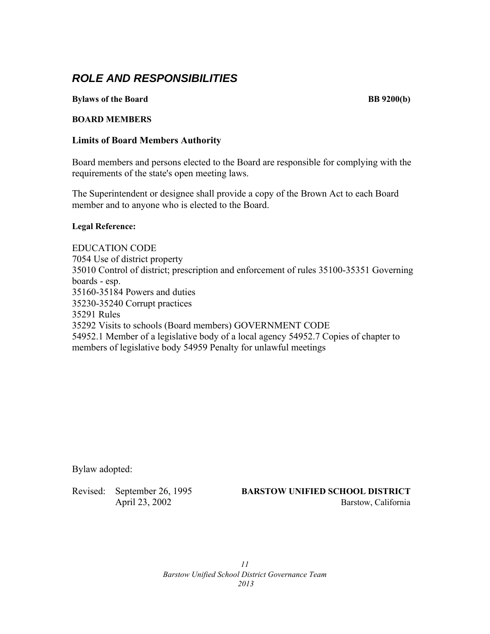**Bylaws of the Board BB 9200(b) BB 9200(b)** 

#### **BOARD MEMBERS**

#### **Limits of Board Members Authority**

Board members and persons elected to the Board are responsible for complying with the requirements of the state's open meeting laws.

The Superintendent or designee shall provide a copy of the Brown Act to each Board member and to anyone who is elected to the Board.

#### **Legal Reference:**

EDUCATION CODE 7054 Use of district property 35010 Control of district; prescription and enforcement of rules 35100-35351 Governing boards - esp. 35160-35184 Powers and duties 35230-35240 Corrupt practices 35291 Rules 35292 Visits to schools (Board members) GOVERNMENT CODE 54952.1 Member of a legislative body of a local agency 54952.7 Copies of chapter to members of legislative body 54959 Penalty for unlawful meetings

Bylaw adopted:

Revised: September 26, 1995 **BARSTOW UNIFIED SCHOOL DISTRICT** April 23, 2002 Barstow, California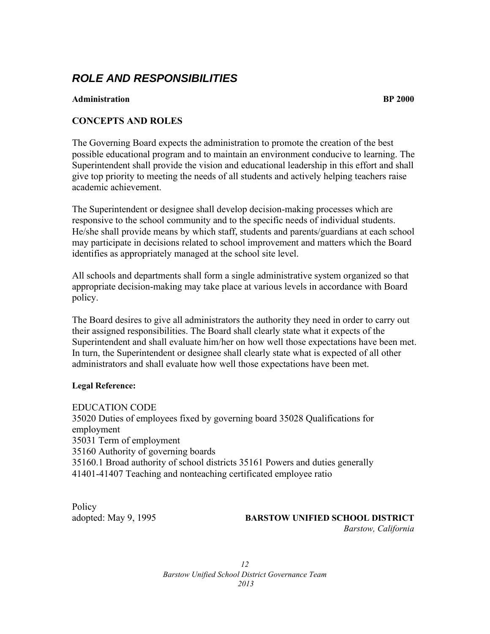#### **Administration BP 2000**

### **CONCEPTS AND ROLES**

The Governing Board expects the administration to promote the creation of the best possible educational program and to maintain an environment conducive to learning. The Superintendent shall provide the vision and educational leadership in this effort and shall give top priority to meeting the needs of all students and actively helping teachers raise academic achievement.

The Superintendent or designee shall develop decision-making processes which are responsive to the school community and to the specific needs of individual students. He/she shall provide means by which staff, students and parents/guardians at each school may participate in decisions related to school improvement and matters which the Board identifies as appropriately managed at the school site level.

All schools and departments shall form a single administrative system organized so that appropriate decision-making may take place at various levels in accordance with Board policy.

The Board desires to give all administrators the authority they need in order to carry out their assigned responsibilities. The Board shall clearly state what it expects of the Superintendent and shall evaluate him/her on how well those expectations have been met. In turn, the Superintendent or designee shall clearly state what is expected of all other administrators and shall evaluate how well those expectations have been met.

#### **Legal Reference:**

EDUCATION CODE 35020 Duties of employees fixed by governing board 35028 Qualifications for employment 35031 Term of employment 35160 Authority of governing boards 35160.1 Broad authority of school districts 35161 Powers and duties generally 41401-41407 Teaching and nonteaching certificated employee ratio

Policy

#### adopted: May 9, 1995 **BARSTOW UNIFIED SCHOOL DISTRICT**

*Barstow, California*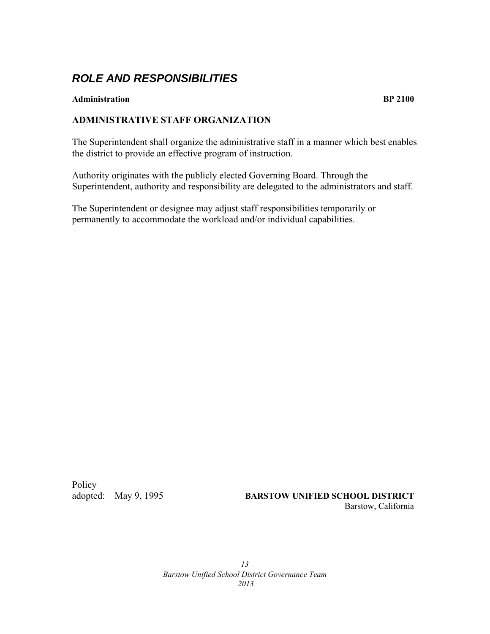#### **Administration BP 2100**

### **ADMINISTRATIVE STAFF ORGANIZATION**

The Superintendent shall organize the administrative staff in a manner which best enables the district to provide an effective program of instruction.

Authority originates with the publicly elected Governing Board. Through the Superintendent, authority and responsibility are delegated to the administrators and staff.

The Superintendent or designee may adjust staff responsibilities temporarily or permanently to accommodate the workload and/or individual capabilities.

Policy

adopted: May 9, 1995 **BARSTOW UNIFIED SCHOOL DISTRICT**  Barstow, California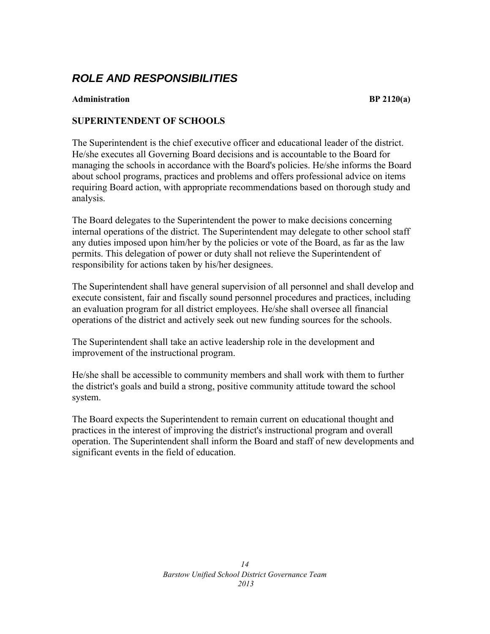#### **Administration BP 2120(a)**

### **SUPERINTENDENT OF SCHOOLS**

The Superintendent is the chief executive officer and educational leader of the district. He/she executes all Governing Board decisions and is accountable to the Board for managing the schools in accordance with the Board's policies. He/she informs the Board about school programs, practices and problems and offers professional advice on items requiring Board action, with appropriate recommendations based on thorough study and analysis.

The Board delegates to the Superintendent the power to make decisions concerning internal operations of the district. The Superintendent may delegate to other school staff any duties imposed upon him/her by the policies or vote of the Board, as far as the law permits. This delegation of power or duty shall not relieve the Superintendent of responsibility for actions taken by his/her designees.

The Superintendent shall have general supervision of all personnel and shall develop and execute consistent, fair and fiscally sound personnel procedures and practices, including an evaluation program for all district employees. He/she shall oversee all financial operations of the district and actively seek out new funding sources for the schools.

The Superintendent shall take an active leadership role in the development and improvement of the instructional program.

He/she shall be accessible to community members and shall work with them to further the district's goals and build a strong, positive community attitude toward the school system.

The Board expects the Superintendent to remain current on educational thought and practices in the interest of improving the district's instructional program and overall operation. The Superintendent shall inform the Board and staff of new developments and significant events in the field of education.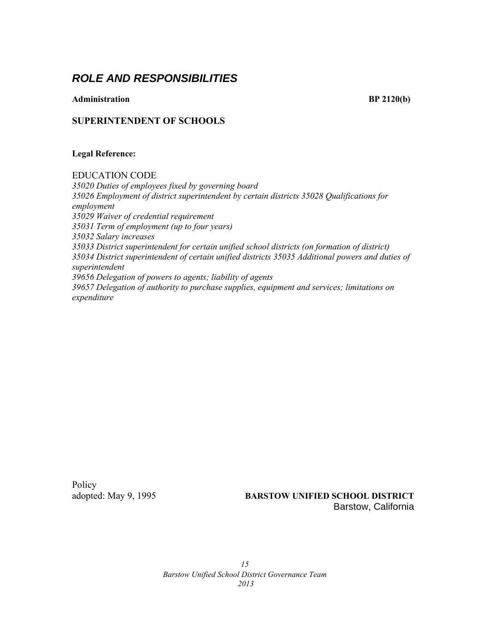#### **Administration** BP 2120(b)

#### **SUPERINTENDENT OF SCHOOLS**

#### **Legal Reference:**

#### EDUCATION CODE

*35020 Duties of employees fixed by governing board 35026 Employment of district superintendent by certain districts 35028 Qualifications for employment 35029 Waiver of credential requirement 35031 Term of employment (up to four years) 35032 Salary increases 35033 District superintendent for certain unified school districts (on formation of district) 35034 District superintendent of certain unified districts 35035 Additional powers and duties of superintendent 39656 Delegation of powers to agents; liability of agents 39657 Delegation of authority to purchase supplies, equipment and services; limitations on expenditure* 

Policy

adopted: May 9, 1995 **BARSTOW UNIFIED SCHOOL DISTRICT** Barstow, California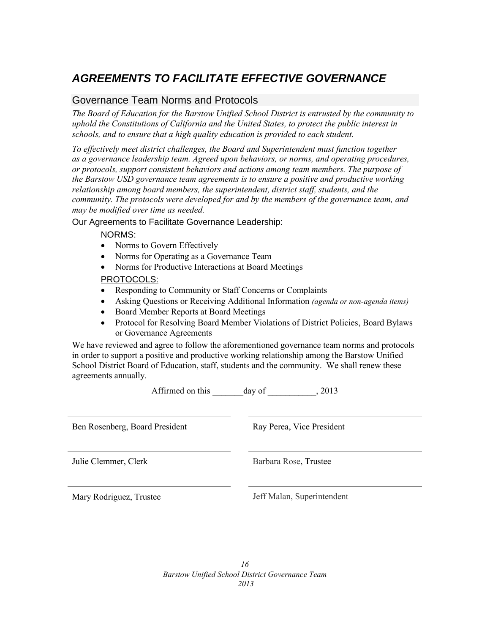# *AGREEMENTS TO FACILITATE EFFECTIVE GOVERNANCE*

### Governance Team Norms and Protocols

*The Board of Education for the Barstow Unified School District is entrusted by the community to uphold the Constitutions of California and the United States, to protect the public interest in schools, and to ensure that a high quality education is provided to each student.*

*To effectively meet district challenges, the Board and Superintendent must function together as a governance leadership team. Agreed upon behaviors, or norms, and operating procedures, or protocols, support consistent behaviors and actions among team members. The purpose of the Barstow USD governance team agreements is to ensure a positive and productive working relationship among board members, the superintendent, district staff, students, and the community. The protocols were developed for and by the members of the governance team, and may be modified over time as needed.*

Our Agreements to Facilitate Governance Leadership:

#### NORMS:

- Norms to Govern Effectively
- Norms for Operating as a Governance Team
- Norms for Productive Interactions at Board Meetings

#### PROTOCOLS:

- Responding to Community or Staff Concerns or Complaints
- Asking Questions or Receiving Additional Information *(agenda or non-agenda items)*
- Board Member Reports at Board Meetings
- Protocol for Resolving Board Member Violations of District Policies, Board Bylaws or Governance Agreements

We have reviewed and agree to follow the aforementioned governance team norms and protocols in order to support a positive and productive working relationship among the Barstow Unified School District Board of Education, staff, students and the community. We shall renew these agreements annually.

Affirmed on this day of  $\qquad \qquad$ , 2013

Ben Rosenberg, Board President Ray Perea, Vice President

Julie Clemmer, Clerk Barbara Rose, Trustee

Mary Rodriguez, Trustee Jeff Malan, Superintendent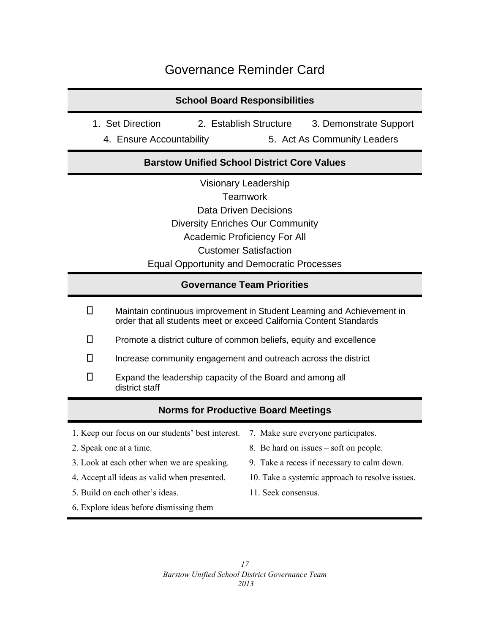# Governance Reminder Card

### **School Board Responsibilities**

1. Set Direction 2. Establish Structure 3. Demonstrate Support

4. Ensure Accountability 5. Act As Community Leaders

### **Barstow Unified School District Core Values**

Visionary Leadership **Teamwork** Data Driven Decisions Diversity Enriches Our Community Academic Proficiency For All Customer Satisfaction Equal Opportunity and Democratic Processes

### **Governance Team Priorities**

- $\Box$ Maintain continuous improvement in Student Learning and Achievement in order that all students meet or exceed California Content Standards
- $\Box$ Promote a district culture of common beliefs, equity and excellence
- $\Box$ Increase community engagement and outreach across the district
- $\Box$ Expand the leadership capacity of the Board and among all district staff

### **Norms for Productive Board Meetings**

- 1. Keep our focus on our students' best interest. 7. Make sure everyone participates.
- 
- 
- 
- 5. Build on each other's ideas. 11. Seek consensus.
- 
- 2. Speak one at a time. 8. Be hard on issues soft on people.
- 3. Look at each other when we are speaking. 9. Take a recess if necessary to calm down.
- 4. Accept all ideas as valid when presented. 10. Take a systemic approach to resolve issues.
	-
- 6. Explore ideas before dismissing them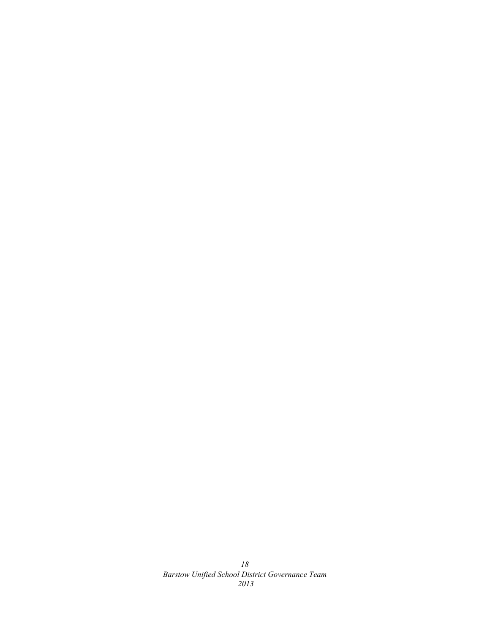*Barstow Unified School District Governance Team*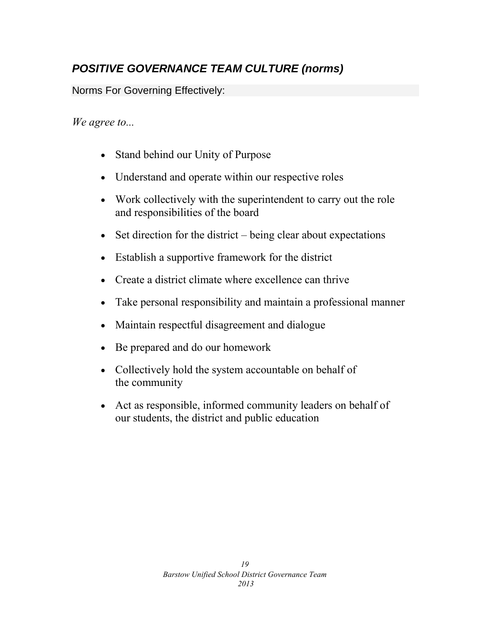# *POSITIVE GOVERNANCE TEAM CULTURE (norms)*

### Norms For Governing Effectively:

*We agree to...*

- Stand behind our Unity of Purpose
- Understand and operate within our respective roles
- Work collectively with the superintendent to carry out the role and responsibilities of the board
- Set direction for the district being clear about expectations
- Establish a supportive framework for the district
- Create a district climate where excellence can thrive
- Take personal responsibility and maintain a professional manner
- Maintain respectful disagreement and dialogue
- Be prepared and do our homework
- Collectively hold the system accountable on behalf of the community
- Act as responsible, informed community leaders on behalf of our students, the district and public education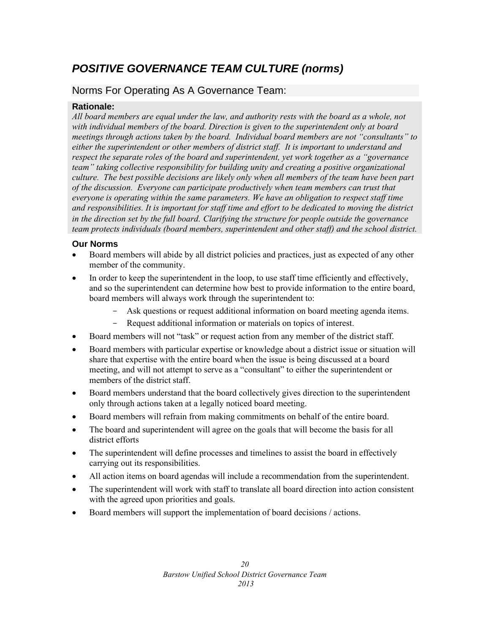# *POSITIVE GOVERNANCE TEAM CULTURE (norms)*

### Norms For Operating As A Governance Team:

### **Rationale:**

*All board members are equal under the law, and authority rests with the board as a whole, not with individual members of the board. Direction is given to the superintendent only at board meetings through actions taken by the board. Individual board members are not "consultants" to either the superintendent or other members of district staff. It is important to understand and respect the separate roles of the board and superintendent, yet work together as a "governance team" taking collective responsibility for building unity and creating a positive organizational culture. The best possible decisions are likely only when all members of the team have been part of the discussion. Everyone can participate productively when team members can trust that everyone is operating within the same parameters. We have an obligation to respect staff time and responsibilities. It is important for staff time and effort to be dedicated to moving the district in the direction set by the full board. Clarifying the structure for people outside the governance team protects individuals (board members, superintendent and other staff) and the school district.*

#### **Our Norms**

- Board members will abide by all district policies and practices, just as expected of any other member of the community.
- In order to keep the superintendent in the loop, to use staff time efficiently and effectively, and so the superintendent can determine how best to provide information to the entire board, board members will always work through the superintendent to:
	- Ask questions or request additional information on board meeting agenda items.
	- Request additional information or materials on topics of interest.
- Board members will not "task" or request action from any member of the district staff.
- Board members with particular expertise or knowledge about a district issue or situation will share that expertise with the entire board when the issue is being discussed at a board meeting, and will not attempt to serve as a "consultant" to either the superintendent or members of the district staff.
- Board members understand that the board collectively gives direction to the superintendent only through actions taken at a legally noticed board meeting.
- Board members will refrain from making commitments on behalf of the entire board.
- The board and superintendent will agree on the goals that will become the basis for all district efforts
- The superintendent will define processes and timelines to assist the board in effectively carrying out its responsibilities.
- All action items on board agendas will include a recommendation from the superintendent.
- The superintendent will work with staff to translate all board direction into action consistent with the agreed upon priorities and goals.
- Board members will support the implementation of board decisions / actions.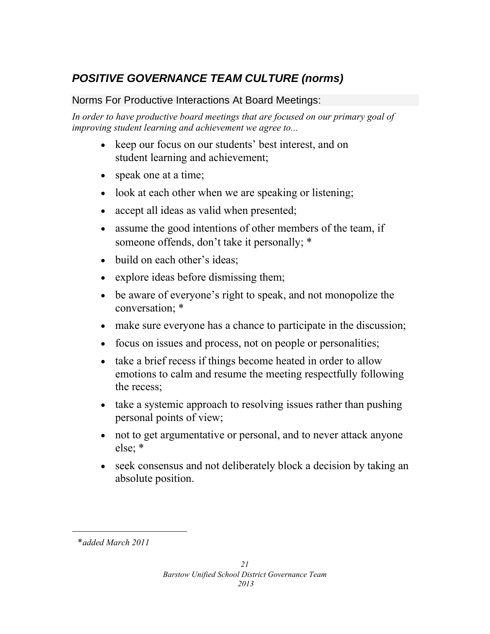# *POSITIVE GOVERNANCE TEAM CULTURE (norms)*

### Norms For Productive Interactions At Board Meetings:

*In order to have productive board meetings that are focused on our primary goal of improving student learning and achievement we agree to...*

- keep our focus on our students' best interest, and on student learning and achievement;
- speak one at a time;
- look at each other when we are speaking or listening;
- accept all ideas as valid when presented;
- assume the good intentions of other members of the team, if someone offends, don't take it personally; \*
- build on each other's ideas;
- explore ideas before dismissing them;
- be aware of everyone's right to speak, and not monopolize the conversation; \*
- make sure everyone has a chance to participate in the discussion;
- focus on issues and process, not on people or personalities;
- take a brief recess if things become heated in order to allow emotions to calm and resume the meeting respectfully following the recess;
- take a systemic approach to resolving issues rather than pushing personal points of view;
- not to get argumentative or personal, and to never attack anyone else; \*
- seek consensus and not deliberately block a decision by taking an absolute position.

\**added March 2011*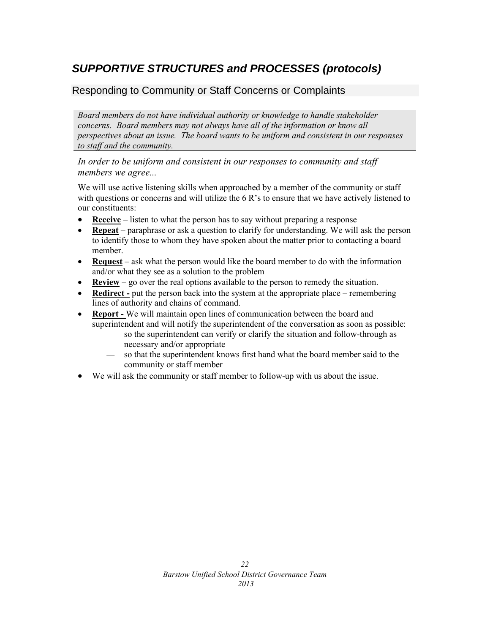### Responding to Community or Staff Concerns or Complaints

*Board members do not have individual authority or knowledge to handle stakeholder concerns. Board members may not always have all of the information or know all perspectives about an issue. The board wants to be uniform and consistent in our responses to staff and the community.*

*In order to be uniform and consistent in our responses to community and staff members we agree...*

We will use active listening skills when approached by a member of the community or staff with questions or concerns and will utilize the 6 R's to ensure that we have actively listened to our constituents:

- **Receive** listen to what the person has to say without preparing a response
- **Repeat** paraphrase or ask a question to clarify for understanding. We will ask the person to identify those to whom they have spoken about the matter prior to contacting a board member.
- **Request** ask what the person would like the board member to do with the information and/or what they see as a solution to the problem
- **Review** go over the real options available to the person to remedy the situation.
- **Redirect** put the person back into the system at the appropriate place remembering lines of authority and chains of command.
- **Report -** We will maintain open lines of communication between the board and superintendent and will notify the superintendent of the conversation as soon as possible:
	- so the superintendent can verify or clarify the situation and follow-through as necessary and/or appropriate
	- so that the superintendent knows first hand what the board member said to the community or staff member
- We will ask the community or staff member to follow-up with us about the issue.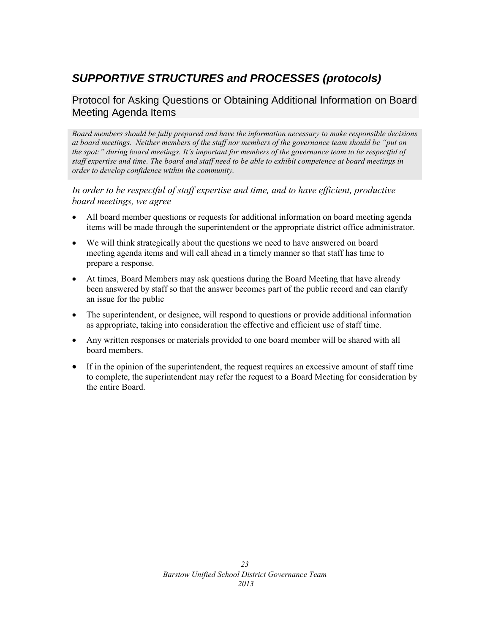### Protocol for Asking Questions or Obtaining Additional Information on Board Meeting Agenda Items

*Board members should be fully prepared and have the information necessary to make responsible decisions at board meetings. Neither members of the staff nor members of the governance team should be "put on the spot:" during board meetings. It's important for members of the governance team to be respectful of staff expertise and time. The board and staff need to be able to exhibit competence at board meetings in order to develop confidence within the community.* 

#### In order to be respectful of staff expertise and time, and to have efficient, productive *board meetings, we agree*

- All board member questions or requests for additional information on board meeting agenda items will be made through the superintendent or the appropriate district office administrator.
- We will think strategically about the questions we need to have answered on board meeting agenda items and will call ahead in a timely manner so that staff has time to prepare a response.
- At times, Board Members may ask questions during the Board Meeting that have already been answered by staff so that the answer becomes part of the public record and can clarify an issue for the public
- The superintendent, or designee, will respond to questions or provide additional information as appropriate, taking into consideration the effective and efficient use of staff time.
- Any written responses or materials provided to one board member will be shared with all board members.
- If in the opinion of the superintendent, the request requires an excessive amount of staff time to complete, the superintendent may refer the request to a Board Meeting for consideration by the entire Board.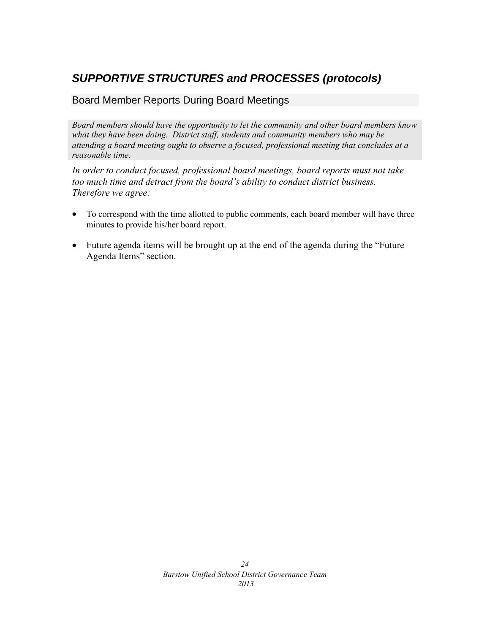### Board Member Reports During Board Meetings

*Board members should have the opportunity to let the community and other board members know what they have been doing. District staff, students and community members who may be attending a board meeting ought to observe a focused, professional meeting that concludes at a reasonable time.* 

*In order to conduct focused, professional board meetings, board reports must not take too much time and detract from the board's ability to conduct district business. Therefore we agree:*

- To correspond with the time allotted to public comments, each board member will have three minutes to provide his/her board report.
- Future agenda items will be brought up at the end of the agenda during the "Future" Agenda Items" section.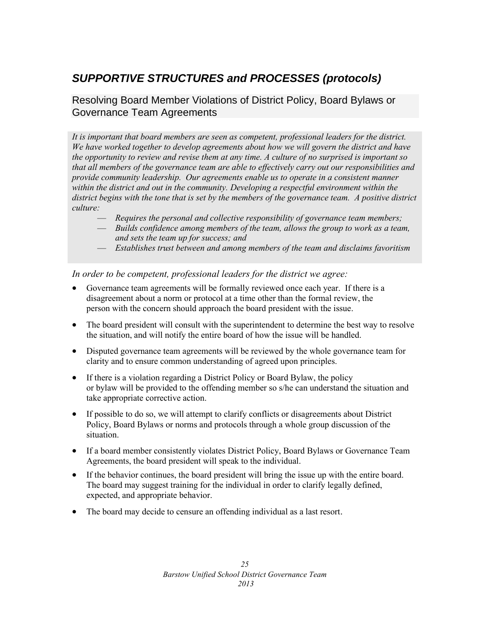### Resolving Board Member Violations of District Policy, Board Bylaws or Governance Team Agreements

*It is important that board members are seen as competent, professional leaders for the district. We have worked together to develop agreements about how we will govern the district and have the opportunity to review and revise them at any time. A culture of no surprised is important so that all members of the governance team are able to effectively carry out our responsibilities and provide community leadership. Our agreements enable us to operate in a consistent manner within the district and out in the community. Developing a respectful environment within the district begins with the tone that is set by the members of the governance team. A positive district culture:*

- *Requires the personal and collective responsibility of governance team members;*
- *Builds confidence among members of the team, allows the group to work as a team, and sets the team up for success; and*
- *Establishes trust between and among members of the team and disclaims favoritism*

*In order to be competent, professional leaders for the district we agree:*

- Governance team agreements will be formally reviewed once each year. If there is a disagreement about a norm or protocol at a time other than the formal review, the person with the concern should approach the board president with the issue.
- The board president will consult with the superintendent to determine the best way to resolve the situation, and will notify the entire board of how the issue will be handled.
- Disputed governance team agreements will be reviewed by the whole governance team for clarity and to ensure common understanding of agreed upon principles.
- If there is a violation regarding a District Policy or Board Bylaw, the policy or bylaw will be provided to the offending member so s/he can understand the situation and take appropriate corrective action.
- If possible to do so, we will attempt to clarify conflicts or disagreements about District Policy, Board Bylaws or norms and protocols through a whole group discussion of the situation.
- If a board member consistently violates District Policy, Board Bylaws or Governance Team Agreements, the board president will speak to the individual.
- If the behavior continues, the board president will bring the issue up with the entire board. The board may suggest training for the individual in order to clarify legally defined, expected, and appropriate behavior.
- The board may decide to censure an offending individual as a last resort.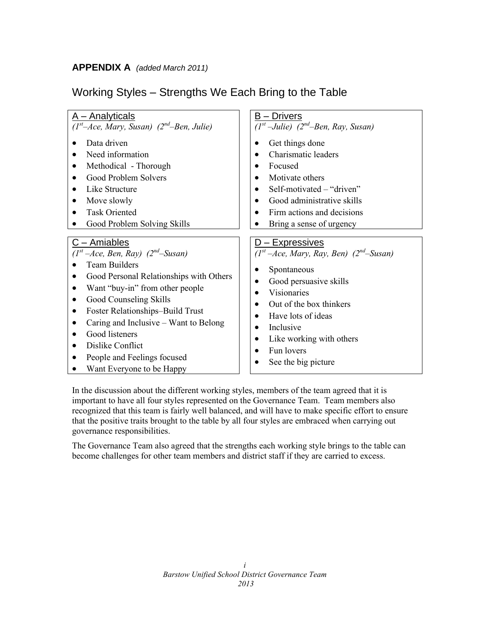### **APPENDIX A** *(added March 2011)*

## Working Styles – Strengths We Each Bring to the Table

| <u>A – Analyticals</u><br>$(Ist-Ace, Mary, Susan)$ $(2nd-Ben, Julie)$                                                                                                                                                                                                                                                                                                                                             | <u>B – Drivers</u><br>$(I^{st}-Julie)$ (2 <sup>nd</sup> –Ben, Ray, Susan)                                                                                                                                                                                                                                            |
|-------------------------------------------------------------------------------------------------------------------------------------------------------------------------------------------------------------------------------------------------------------------------------------------------------------------------------------------------------------------------------------------------------------------|----------------------------------------------------------------------------------------------------------------------------------------------------------------------------------------------------------------------------------------------------------------------------------------------------------------------|
| Data driven<br>Need information<br>Methodical - Thorough<br>Good Problem Solvers<br>Like Structure<br>$\bullet$<br>Move slowly<br><b>Task Oriented</b><br>Good Problem Solving Skills                                                                                                                                                                                                                             | Get things done<br>Charismatic leaders<br>$\bullet$<br>Focused<br>$\bullet$<br>Motivate others<br>Self-motivated – "driven"<br>$\bullet$<br>Good administrative skills<br>Firm actions and decisions<br>$\bullet$<br>Bring a sense of urgency                                                                        |
| $C - Amiables$<br>$(I^{st}-Ace, Ben, Ray)$ $(2^{nd}-Susan)$<br><b>Team Builders</b><br>Good Personal Relationships with Others<br>$\bullet$<br>Want "buy-in" from other people<br>$\bullet$<br>Good Counseling Skills<br>Foster Relationships-Build Trust<br>$\bullet$<br>Caring and Inclusive – Want to Belong<br>Good listeners<br>Dislike Conflict<br>People and Feelings focused<br>Want Everyone to be Happy | <u>D – Expressives</u><br>$(I^{st}-Acc, Mary, Ray, Ben)$ $(2^{nd}-Susan)$<br>Spontaneous<br>Good persuasive skills<br>Visionaries<br>Out of the box thinkers<br>$\bullet$<br>Have lots of ideas<br>$\bullet$<br>Inclusive<br>$\bullet$<br>Like working with others<br>Fun lovers<br>$\bullet$<br>See the big picture |

In the discussion about the different working styles, members of the team agreed that it is important to have all four styles represented on the Governance Team. Team members also recognized that this team is fairly well balanced, and will have to make specific effort to ensure that the positive traits brought to the table by all four styles are embraced when carrying out governance responsibilities.

The Governance Team also agreed that the strengths each working style brings to the table can become challenges for other team members and district staff if they are carried to excess.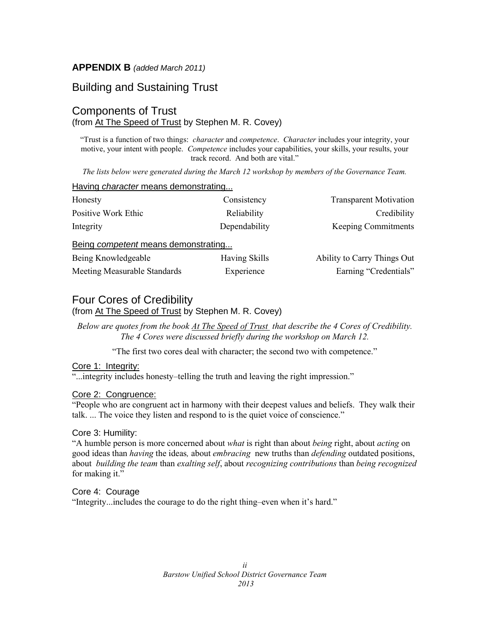#### **APPENDIX B** *(added March 2011)*

### Building and Sustaining Trust

### Components of Trust (from At The Speed of Trust by Stephen M. R. Covey)

"Trust is a function of two things: *character* and *competence*. *Character* includes your integrity, your motive, your intent with people. *Competence* includes your capabilities, your skills, your results, your track record. And both are vital."

*The lists below were generated during the March 12 workshop by members of the Governance Team.*

| Having <i>character</i> means demonstrating |               |                               |
|---------------------------------------------|---------------|-------------------------------|
| Honesty                                     | Consistency   | <b>Transparent Motivation</b> |
| Positive Work Ethic                         | Reliability   | Credibility                   |
| Integrity                                   | Dependability | <b>Keeping Commitments</b>    |
| Being competent means demonstrating         |               |                               |
| Being Knowledgeable                         | Having Skills | Ability to Carry Things Out   |
| Meeting Measurable Standards                | Experience    | Earning "Credentials"         |

### Four Cores of Credibility

(from At The Speed of Trust by Stephen M. R. Covey)

*Below are quotes from the book At The Speed of Trust that describe the 4 Cores of Credibility. The 4 Cores were discussed briefly during the workshop on March 12.*

"The first two cores deal with character; the second two with competence."

#### Core 1: Integrity:

"...integrity includes honesty–telling the truth and leaving the right impression."

#### Core 2: Congruence:

"People who are congruent act in harmony with their deepest values and beliefs. They walk their talk. ... The voice they listen and respond to is the quiet voice of conscience."

#### Core 3: Humility:

"A humble person is more concerned about *what* is right than about *being* right, about *acting* on good ideas than *having* the ideas*,* about *embracing* new truths than *defending* outdated positions, about *building the team* than *exalting self*, about *recognizing contributions* than *being recognized*  for making it."

#### Core 4: Courage

"Integrity...includes the courage to do the right thing–even when it's hard."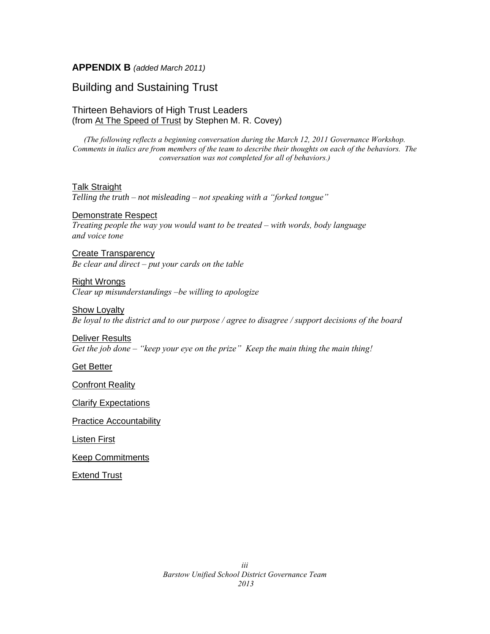#### **APPENDIX B** *(added March 2011)*

### Building and Sustaining Trust

#### Thirteen Behaviors of High Trust Leaders (from At The Speed of Trust by Stephen M. R. Covey)

*(The following reflects a beginning conversation during the March 12, 2011 Governance Workshop. Comments in italics are from members of the team to describe their thoughts on each of the behaviors. The conversation was not completed for all of behaviors.)*

#### Talk Straight

*Telling the truth – not misleading – not speaking with a "forked tongue"*

#### Demonstrate Respect

*Treating people the way you would want to be treated – with words, body language and voice tone*

#### Create Transparency *Be clear and direct – put your cards on the table*

Right Wrongs *Clear up misunderstandings –be willing to apologize*

#### Show Loyalty

*Be loyal to the district and to our purpose / agree to disagree / support decisions of the board*

#### **Deliver Results**

*Get the job done – "keep your eye on the prize" Keep the main thing the main thing!*

#### Get Better

Confront Reality

Clarify Expectations

Practice Accountability

Listen First

#### Keep Commitments

**Extend Trust**